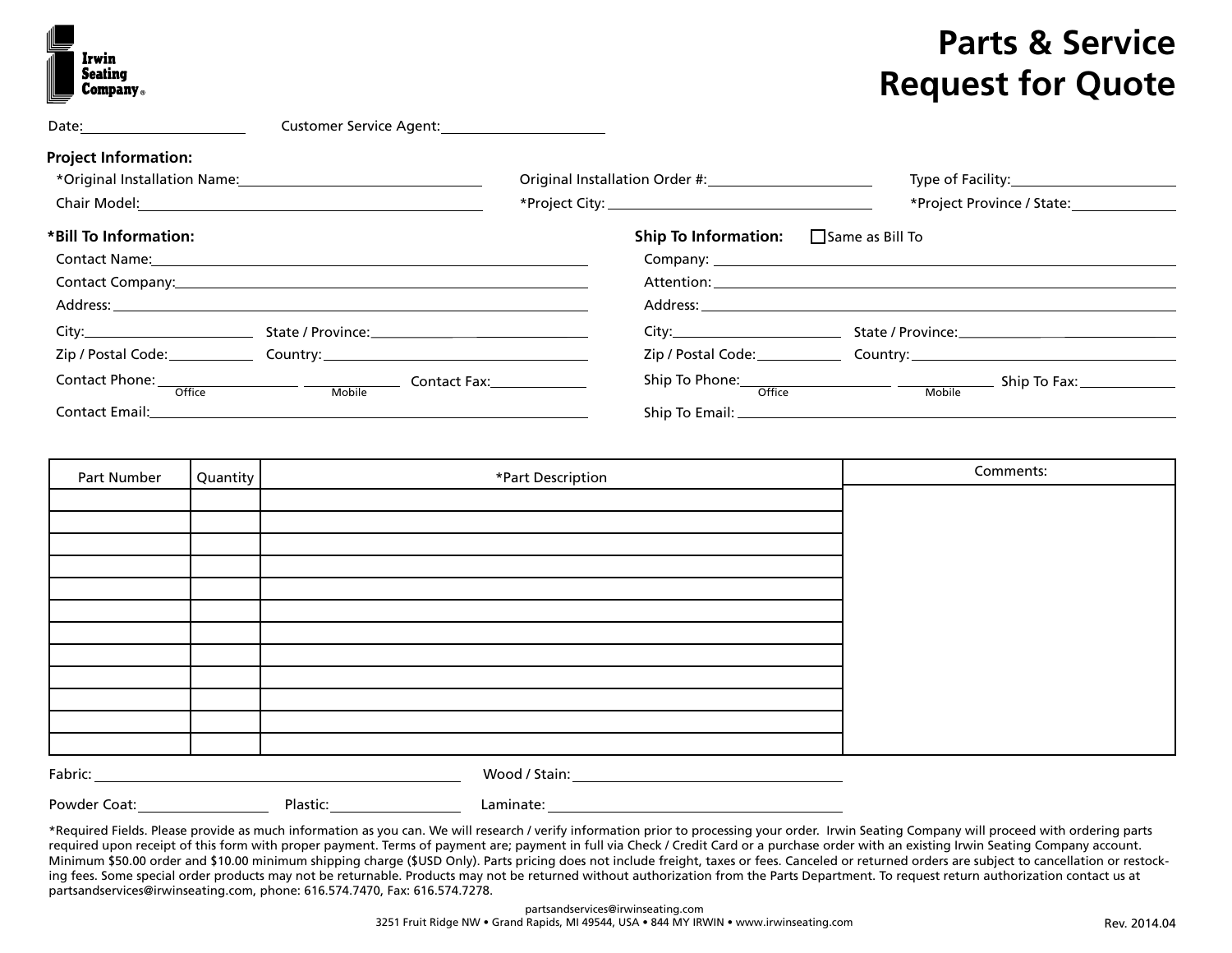| Irwin<br><b>Seating</b><br><b>Company</b> <sub>®</sub> |
|--------------------------------------------------------|

## **Parts & Service Request for Quote**

|                                         | Customer Service Agent:_________________________                                                                                                                                                                               |                                                                                                                                                                                                                                |                                                                                                                                                                                                                                |
|-----------------------------------------|--------------------------------------------------------------------------------------------------------------------------------------------------------------------------------------------------------------------------------|--------------------------------------------------------------------------------------------------------------------------------------------------------------------------------------------------------------------------------|--------------------------------------------------------------------------------------------------------------------------------------------------------------------------------------------------------------------------------|
| <b>Project Information:</b>             |                                                                                                                                                                                                                                |                                                                                                                                                                                                                                |                                                                                                                                                                                                                                |
|                                         |                                                                                                                                                                                                                                | Original Installation Order #: 2008 2014                                                                                                                                                                                       |                                                                                                                                                                                                                                |
|                                         |                                                                                                                                                                                                                                |                                                                                                                                                                                                                                |                                                                                                                                                                                                                                |
| *Bill To Information:                   |                                                                                                                                                                                                                                | <b>Ship To Information:</b>                                                                                                                                                                                                    | □ Same as Bill To                                                                                                                                                                                                              |
|                                         |                                                                                                                                                                                                                                |                                                                                                                                                                                                                                |                                                                                                                                                                                                                                |
|                                         | Contact Company: Note and Second Contact Company:                                                                                                                                                                              |                                                                                                                                                                                                                                |                                                                                                                                                                                                                                |
|                                         | Address: the contract of the contract of the contract of the contract of the contract of the contract of the contract of the contract of the contract of the contract of the contract of the contract of the contract of the c |                                                                                                                                                                                                                                | Address: the contract of the contract of the contract of the contract of the contract of the contract of the contract of the contract of the contract of the contract of the contract of the contract of the contract of the c |
| City:                                   | State / Province: 1997 - 1997 - 1998 - 1999 - 1999 - 1999 - 1999 - 1999 - 1999 - 1999 - 1999 - 1999 - 1999 - 1                                                                                                                 | City: the contract of the contract of the contract of the contract of the contract of the contract of the contract of the contract of the contract of the contract of the contract of the contract of the contract of the cont |                                                                                                                                                                                                                                |
|                                         | Zip / Postal Code: Country: Country: Country: Country: Country: Country: Country: Country: Country: Country: Country: Country: Country: Country: Country: Country: Country: Country: Country: Country: Country: Country: Count |                                                                                                                                                                                                                                | Zip / Postal Code: Country: Country:                                                                                                                                                                                           |
| Contact Phone: <del>Office Mobile</del> | Contact Fax: The Contact Season Season                                                                                                                                                                                         |                                                                                                                                                                                                                                | Ship To Phone: Office Mobile                                                                                                                                                                                                   |
| <b>Contact Email:</b> Contact Email:    |                                                                                                                                                                                                                                |                                                                                                                                                                                                                                |                                                                                                                                                                                                                                |

| Part Number  | Quantity |                                                                                                                                                                                                                                                                                                                                                                          | *Part Description | Comments: |
|--------------|----------|--------------------------------------------------------------------------------------------------------------------------------------------------------------------------------------------------------------------------------------------------------------------------------------------------------------------------------------------------------------------------|-------------------|-----------|
|              |          |                                                                                                                                                                                                                                                                                                                                                                          |                   |           |
|              |          |                                                                                                                                                                                                                                                                                                                                                                          |                   |           |
|              |          |                                                                                                                                                                                                                                                                                                                                                                          |                   |           |
|              |          |                                                                                                                                                                                                                                                                                                                                                                          |                   |           |
|              |          |                                                                                                                                                                                                                                                                                                                                                                          |                   |           |
|              |          |                                                                                                                                                                                                                                                                                                                                                                          |                   |           |
|              |          |                                                                                                                                                                                                                                                                                                                                                                          |                   |           |
|              |          |                                                                                                                                                                                                                                                                                                                                                                          |                   |           |
|              |          |                                                                                                                                                                                                                                                                                                                                                                          |                   |           |
|              |          |                                                                                                                                                                                                                                                                                                                                                                          |                   |           |
|              |          |                                                                                                                                                                                                                                                                                                                                                                          |                   |           |
|              |          | ${\sf Fabric:}\begin{picture}(150,10) \put(0,0){\vector(1,0){100}} \put(15,0){\vector(1,0){100}} \put(15,0){\vector(1,0){100}} \put(15,0){\vector(1,0){100}} \put(15,0){\vector(1,0){100}} \put(15,0){\vector(1,0){100}} \put(15,0){\vector(1,0){100}} \put(15,0){\vector(1,0){100}} \put(15,0){\vector(1,0){100}} \put(15,0){\vector(1,0){100}} \put(15,0){\vector(1,0$ |                   |           |
| Powder Coat: |          | Plastic:                                                                                                                                                                                                                                                                                                                                                                 | Laminate:         |           |

\*Required Fields. Please provide as much information as you can. We will research / verify information prior to processing your order. Irwin Seating Company will proceed with ordering parts required upon receipt of this form with proper payment. Terms of payment are; payment in full via Check / Credit Card or a purchase order with an existing Irwin Seating Company account. Minimum \$50.00 order and \$10.00 minimum shipping charge (\$USD Only). Parts pricing does not include freight, taxes or fees. Canceled or returned orders are subject to cancellation or restocking fees. Some special order products may not be returnable. Products may not be returned without authorization from the Parts Department. To request return authorization contact us at partsandservices@irwinseating.com, phone: 616.574.7470, Fax: 616.574.7278.